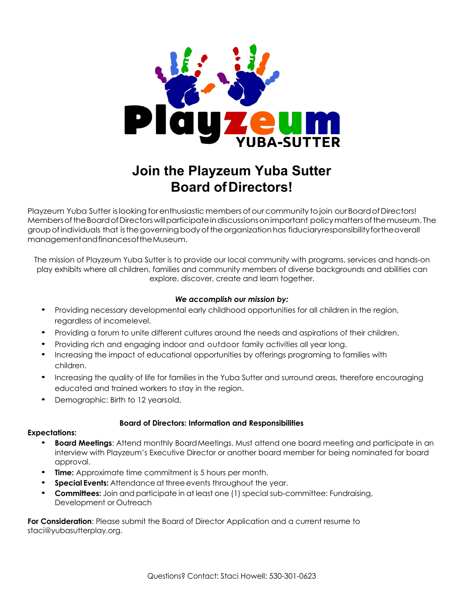

# **Join the Playzeum Yuba Sutter Board ofDirectors!**

Playzeum Yuba Sutter is looking for enthusiastic members of our community to join our Board of Directors! MembersoftheBoardofDirectorswillparticipateindiscussionsonimportant policymattersofthemuseum. The groupofindividuals that isthegoverningbodyoftheorganizationhas fiduciaryresponsibilityfortheoverall managementandfinancesoftheMuseum.

The mission of Playzeum Yuba Sutter is to provide our local community with programs, services and hands-on play exhibits where all children, families and community members of diverse backgrounds and abilities can explore, discover, create and learn together.

### *We accomplish our mission by:*

- Providing necessary developmental early childhood opportunities for all children in the region, regardless of incomelevel.
- Providing a forum to unite different cultures around the needs and aspirations of their children.
- Providing rich and engaging indoor and outdoor family activities all year long.
- Increasing the impact of educational opportunities by offerings programing to families with children.
- Increasing the quality of life for families in the Yuba Sutter and surround areas, therefore encouraging educated and trained workers to stay in the region.
- Demographic: Birth to 12 yearsold.

#### **Board of Directors: Information and Responsibilities**

#### **Expectations:**

- **Board Meetings:** Attend monthly Board Meetings. Must attend one board meeting and participate in an interview with Playzeum's Executive Director or another board member for being nominated for board approval.
- **Time:** Approximate time commitment is 5 hours per month.
- **Special Events:** Attendance at three events throughout the year.
- **Committees:** Join and participate in at least one (1) special sub-committee: Fundraising, Development or Outreach

**For Consideration**: Please submit the Board of Director Application and a current resume to staci@yubasutterplay.org.